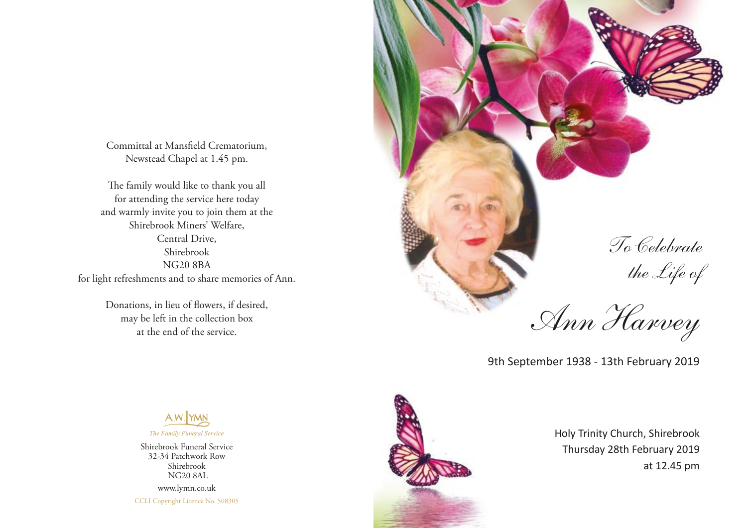Committal at Mansfield Crematorium, Newstead Chapel at 1.45 pm.

The family would like to thank you all for attending the service here today and warmly invite you to join them at the Shirebrook Miners' Welfare, Central Drive, Shirebrook NG20 8BA for light refreshments and to share memories of Ann.

> Donations, in lieu of flowers, if desired, may be left in the collection box at the end of the service.



To Celebrate the Life of

Ann Harvey

9th September 1938 - 13th February 2019



Holy Trinity Church, Shirebrook Thursday 28th February 2019



Shirebrook Funeral Service 32-34 Patchwork Row Shirebrook NG20 8AL www.lymn.co.uk CCLI Copyright Licence No. 508305 at 12.45 pm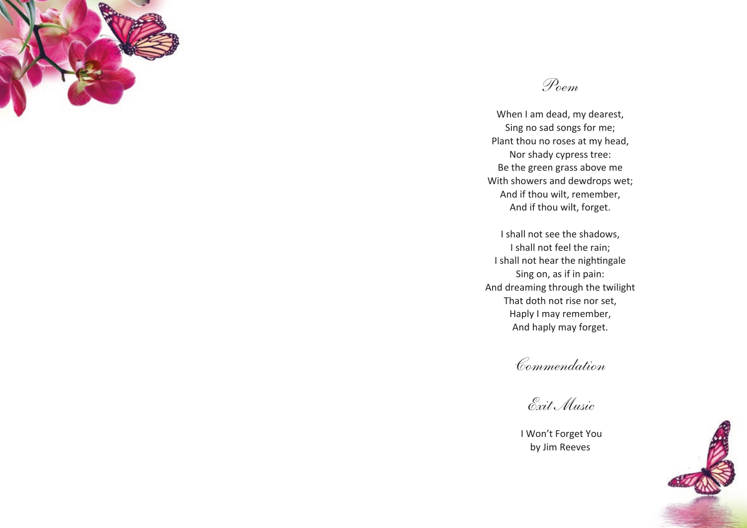



When I am dead, my dearest, Sing no sad songs for me; Plant thou no roses at my head, Nor shady cypress tree: Be the green grass above me With showers and dewdrops wet; And if thou wilt, remember, And if thou wilt, forget.

I shall not see the shadows, I shall not feel the rain; I shall not hear the nightingale Sing on, as if in pain: And dreaming through the twilight That doth not rise nor set, Haply I may remember, And haply may forget.

Commendation

Exit Music

 I Won't Forget You by Jim Reeves

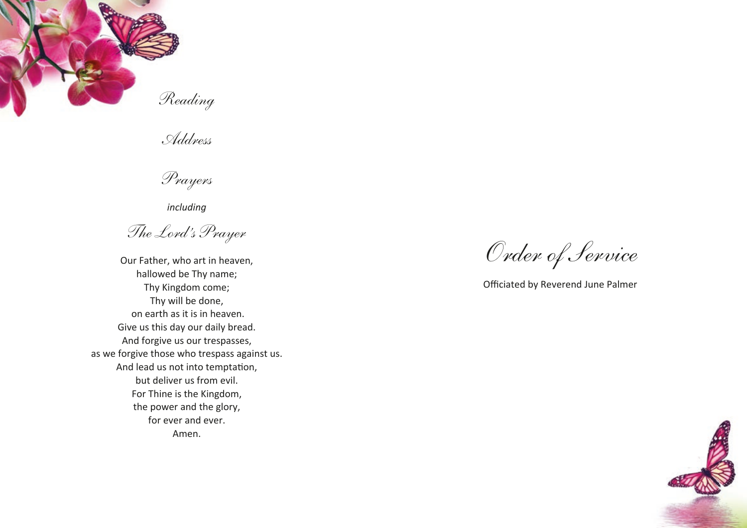

Address

Prayers

*including*

The Lord's Prayer

Our Father, who art in heaven, hallowed be Thy name; Thy Kingdom come; Thy will be done, on earth as it is in heaven. Give us this day our daily bread. And forgive us our trespasses, as we forgive those who trespass against us. And lead us not into temptation, but deliver us from evil. For Thine is the Kingdom, the power and the glory, for ever and ever. Amen.

Order of Service

Officiated by Reverend June Palmer